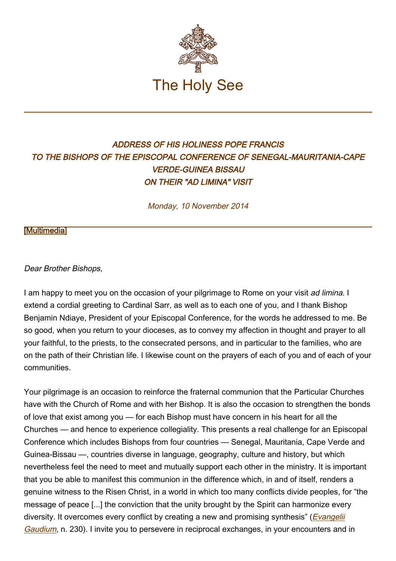

## ADDRESS OF HIS HOLINESS POPE FRANCIS TO THE BISHOPS OF THE EPISCOPAL CONFERENCE OF SENEGAL-MAURITANIA-CAPE VERDE-GUINEA BISSAU ON THEIR "AD LIMINA" VISIT

Monday, 10 November 2014

## [\[Multimedia](http://w2.vatican.va/content/francesco/en/events/event.dir.html/content/vaticanevents/en/2014/11/10/adliminaafrica.html)]

## Dear Brother Bishops,

I am happy to meet you on the occasion of your pilgrimage to Rome on your visit ad limina. I extend a cordial greeting to Cardinal Sarr, as well as to each one of you, and I thank Bishop Benjamin Ndiaye, President of your Episcopal Conference, for the words he addressed to me. Be so good, when you return to your dioceses, as to convey my affection in thought and prayer to all your faithful, to the priests, to the consecrated persons, and in particular to the families, who are on the path of their Christian life. I likewise count on the prayers of each of you and of each of your communities.

Your pilgrimage is an occasion to reinforce the fraternal communion that the Particular Churches have with the Church of Rome and with her Bishop. It is also the occasion to strengthen the bonds of love that exist among you — for each Bishop must have concern in his heart for all the Churches — and hence to experience collegiality. This presents a real challenge for an Episcopal Conference which includes Bishops from four countries — Senegal, Mauritania, Cape Verde and Guinea-Bissau —, countries diverse in language, geography, culture and history, but which nevertheless feel the need to meet and mutually support each other in the ministry. It is important that you be able to manifest this communion in the difference which, in and of itself, renders a genuine witness to the Risen Christ, in a world in which too many conflicts divide peoples, for "the message of peace [...] the conviction that the unity brought by the Spirit can harmonize every diversity. It overcomes every conflict by creating a new and promising synthesis" (*[Evangelii](http://w2.vatican.va/content/francesco/en/apost_exhortations/documents/papa-francesco_esortazione-ap_20131124_evangelii-gaudium.html)*) [Gaudium](http://w2.vatican.va/content/francesco/en/apost_exhortations/documents/papa-francesco_esortazione-ap_20131124_evangelii-gaudium.html), n. 230). I invite you to persevere in reciprocal exchanges, in your encounters and in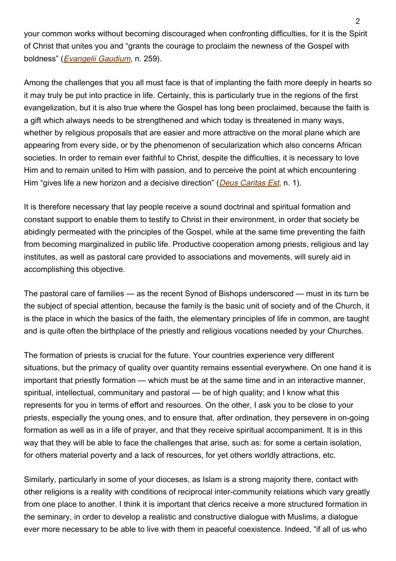your common works without becoming discouraged when confronting difficulties, for it is the Spirit of Christ that unites you and "grants the courage to proclaim the newness of the Gospel with boldness" ([Evangelii Gaudium](http://w2.vatican.va/content/francesco/en/apost_exhortations/documents/papa-francesco_esortazione-ap_20131124_evangelii-gaudium.html), n. 259).

Among the challenges that you all must face is that of implanting the faith more deeply in hearts so it may truly be put into practice in life. Certainly, this is particularly true in the regions of the first evangelization, but it is also true where the Gospel has long been proclaimed, because the faith is a gift which always needs to be strengthened and which today is threatened in many ways, whether by religious proposals that are easier and more attractive on the moral plane which are appearing from every side, or by the phenomenon of secularization which also concerns African societies. In order to remain ever faithful to Christ, despite the difficulties, it is necessary to love Him and to remain united to Him with passion, and to perceive the point at which encountering Him "gives life a new horizon and a decisive direction" (*[Deus Caritas Est](http://www.vatican.va/holy_father/benedict_xvi/encyclicals/documents/hf_ben-xvi_enc_20051225_deus-caritas-est_en.html)*, n. 1).

It is therefore necessary that lay people receive a sound doctrinal and spiritual formation and constant support to enable them to testify to Christ in their environment, in order that society be abidingly permeated with the principles of the Gospel, while at the same time preventing the faith from becoming marginalized in public life. Productive cooperation among priests, religious and lay institutes, as well as pastoral care provided to associations and movements, will surely aid in accomplishing this objective.

The pastoral care of families — as the recent Synod of Bishops underscored — must in its turn be the subject of special attention, because the family is the basic unit of society and of the Church, it is the place in which the basics of the faith, the elementary principles of life in common, are taught and is quite often the birthplace of the priestly and religious vocations needed by your Churches.

The formation of priests is crucial for the future. Your countries experience very different situations, but the primacy of quality over quantity remains essential everywhere. On one hand it is important that priestly formation — which must be at the same time and in an interactive manner, spiritual, intellectual, communitary and pastoral — be of high quality; and I know what this represents for you in terms of effort and resources. On the other, I ask you to be close to your priests, especially the young ones, and to ensure that, after ordination, they persevere in on-going formation as well as in a life of prayer, and that they receive spiritual accompaniment. It is in this way that they will be able to face the challenges that arise, such as: for some a certain isolation, for others material poverty and a lack of resources, for yet others worldly attractions, etc.

Similarly, particularly in some of your dioceses, as Islam is a strong majority there, contact with other religions is a reality with conditions of reciprocal inter-community relations which vary greatly from one place to another. I think it is important that clerics receive a more structured formation in the seminary, in order to develop a realistic and constructive dialogue with Muslims, a dialogue ever more necessary to be able to live with them in peaceful coexistence. Indeed, "if all of us who